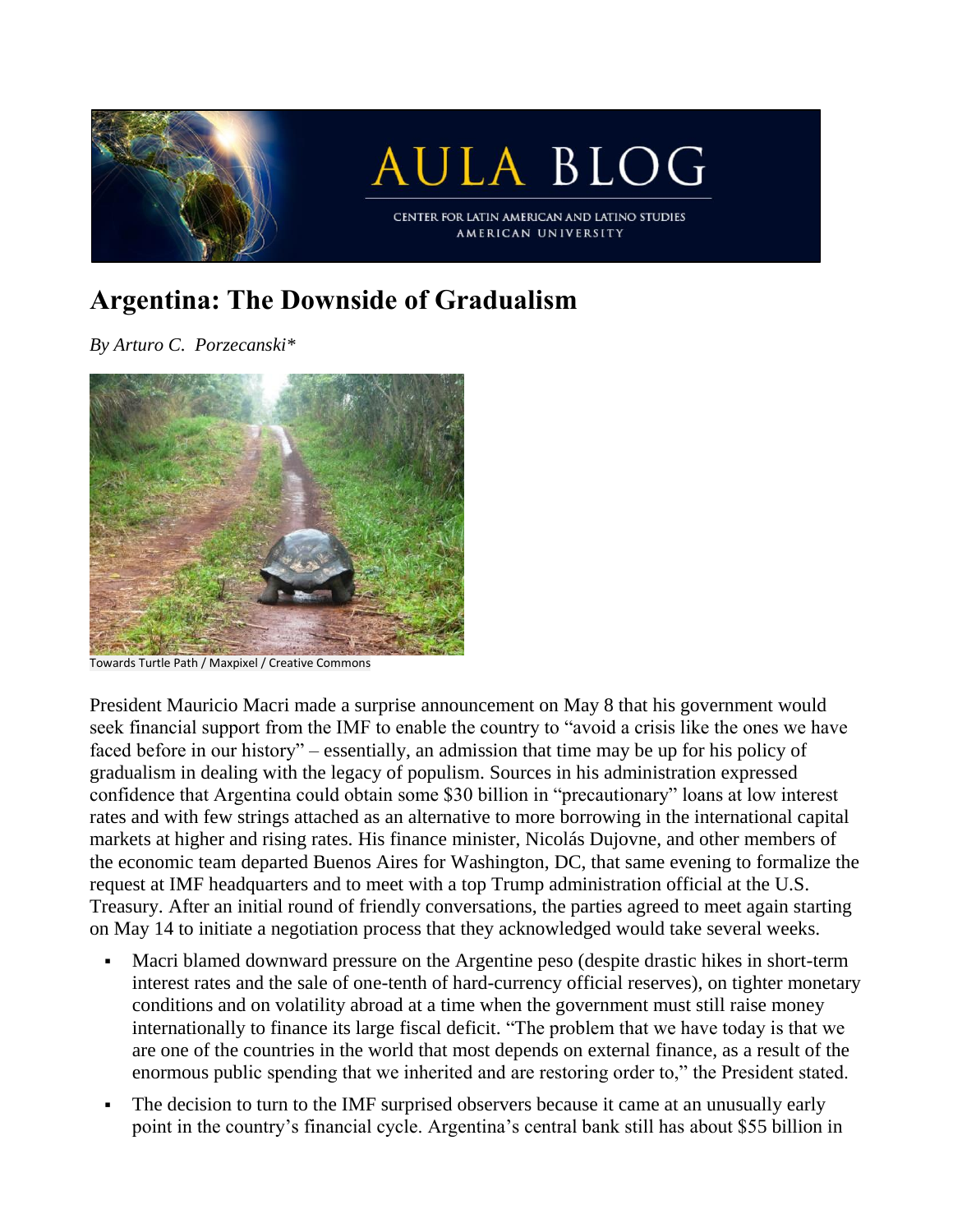

## **Argentina: The Downside of Gradualism**

*By Arturo C. Porzecanski\**



Towards Turtle Path / Maxpixel / Creative Commons

President Mauricio Macri made a surprise announcement on May 8 that his government would seek financial support from the IMF to enable the country to "avoid a crisis like the ones we have faced before in our history" – essentially, an admission that time may be up for his policy of gradualism in dealing with the legacy of populism. Sources in his administration expressed confidence that Argentina could obtain some \$30 billion in "precautionary" loans at low interest rates and with few strings attached as an alternative to more borrowing in the international capital markets at higher and rising rates. His finance minister, Nicolás Dujovne, and other members of the economic team departed Buenos Aires for Washington, DC, that same evening to formalize the request at IMF headquarters and to meet with a top Trump administration official at the U.S. Treasury. After an initial round of friendly conversations, the parties agreed to meet again starting on May 14 to initiate a negotiation process that they acknowledged would take several weeks.

- Macri blamed downward pressure on the Argentine peso (despite drastic hikes in short-term interest rates and the sale of one-tenth of hard-currency official reserves), on tighter monetary conditions and on volatility abroad at a time when the government must still raise money internationally to finance its large fiscal deficit. "The problem that we have today is that we are one of the countries in the world that most depends on external finance, as a result of the enormous public spending that we inherited and are restoring order to," the President stated.
- The decision to turn to the IMF surprised observers because it came at an unusually early point in the country's financial cycle. Argentina's central bank still has about \$55 billion in